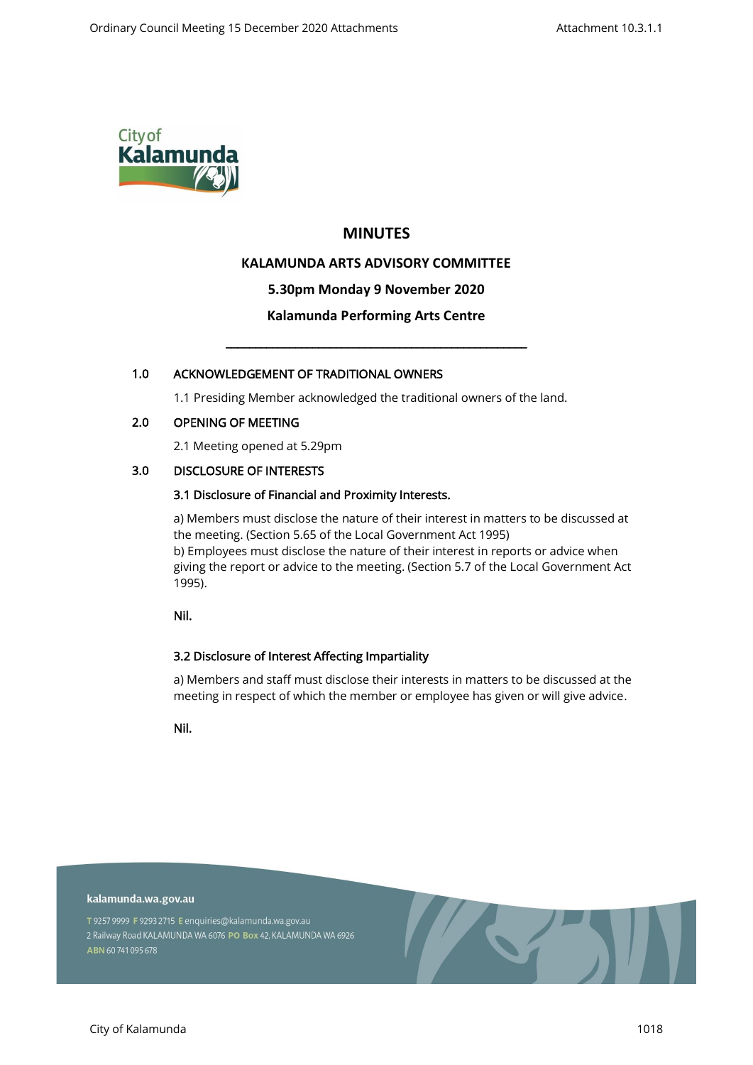

# **MINUTES**

# **KALAMUNDA ARTS ADVISORY COMMITTEE**

### **5.30pm Monday 9 November 2020**

### **Kalamunda Performing Arts Centre**

\_\_\_\_\_\_\_\_\_\_\_\_\_\_\_\_\_\_\_\_\_\_\_\_\_\_\_\_\_\_\_\_\_\_\_\_\_\_\_\_\_\_\_\_\_\_\_\_\_\_\_\_

### 1.0 ACKNOWLEDGEMENT OF TRADITIONAL OWNERS

1.1 Presiding Member acknowledged the traditional owners of the land.

#### 2.0 OPENING OF MEETING

2.1 Meeting opened at 5.29pm

### 3.0 DISCLOSURE OF INTERESTS

### 3.1 Disclosure of Financial and Proximity Interests.

a) Members must disclose the nature of their interest in matters to be discussed at the meeting. (Section 5.65 of the Local Government Act 1995) b) Employees must disclose the nature of their interest in reports or advice when giving the report or advice to the meeting. (Section 5.7 of the Local Government Act 1995).

Nil.

### 3.2 Disclosure of Interest Affecting Impartiality

a) Members and staff must disclose their interests in matters to be discussed at the meeting in respect of which the member or employee has given or will give advice.

Nil.

#### kalamunda.wa.gov.au

T 9257 9999 F 9293 2715 E enquiries@kalamunda.wa.gov.au 2 Railway Road KALAMUNDA WA 6076 PO Box 42, KALAMUNDA WA 6926 ABN 60741095678

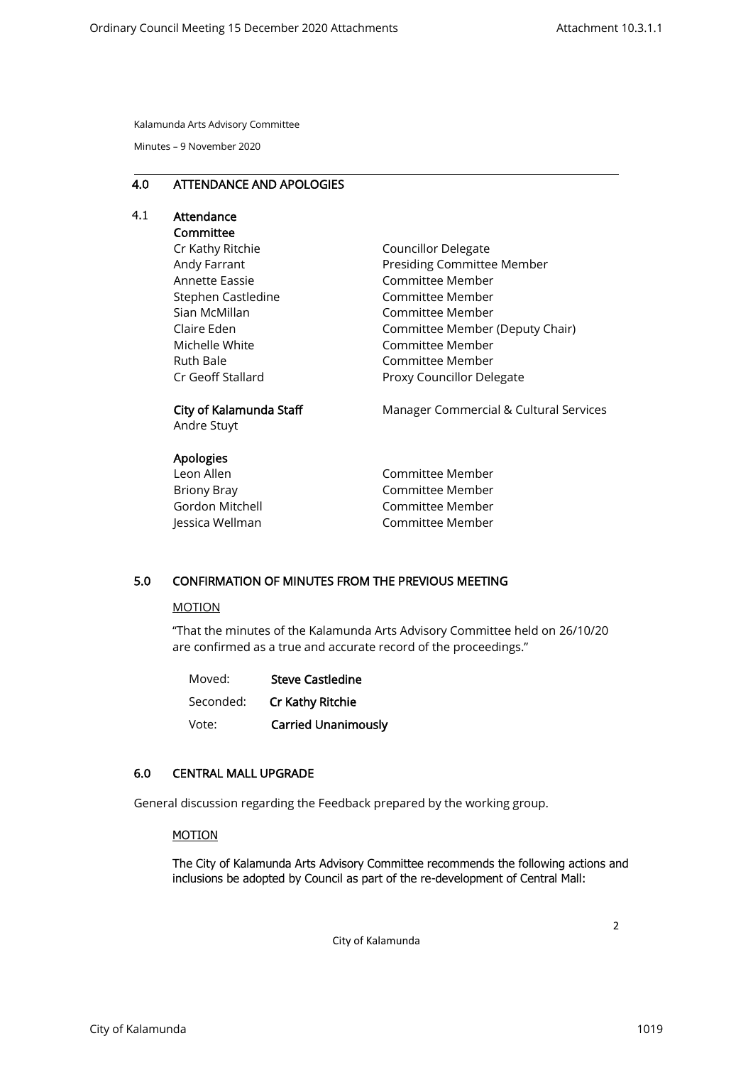Kalamunda Arts Advisory Committee

Minutes – 9 November 2020

### 4.0 ATTENDANCE AND APOLOGIES

# 4.1 Attendance

# Committee

Cr Kathy Ritchie Andy Farrant Annette Eassie Stephen Castledine Sian McMillan Claire Eden Michelle White Ruth Bale Cr Geoff Stallard

Councillor Delegate Presiding Committee Member Committee Member Committee Member Committee Member Committee Member (Deputy Chair) Committee Member Committee Member Proxy Councillor Delegate

# City of Kalamunda Staff

Andre Stuyt

### Apologies

| Leon Allen      |  |
|-----------------|--|
| Briony Bray     |  |
| Gordon Mitchell |  |
| Jessica Wellman |  |

Manager Commercial & Cultural Services

Committee Member Committee Member Committee Member Committee Member

# 5.0 CONFIRMATION OF MINUTES FROM THE PREVIOUS MEETING

#### MOTION

"That the minutes of the Kalamunda Arts Advisory Committee held on 26/10/20 are confirmed as a true and accurate record of the proceedings."

| Moved:    | <b>Steve Castledine</b>    |
|-----------|----------------------------|
| Seconded: | Cr Kathy Ritchie           |
| Vote:     | <b>Carried Unanimously</b> |

# 6.0 CENTRAL MALL UPGRADE

General discussion regarding the Feedback prepared by the working group.

#### MOTION

The City of Kalamunda Arts Advisory Committee recommends the following actions and inclusions be adopted by Council as part of the re-development of Central Mall:

City of Kalamunda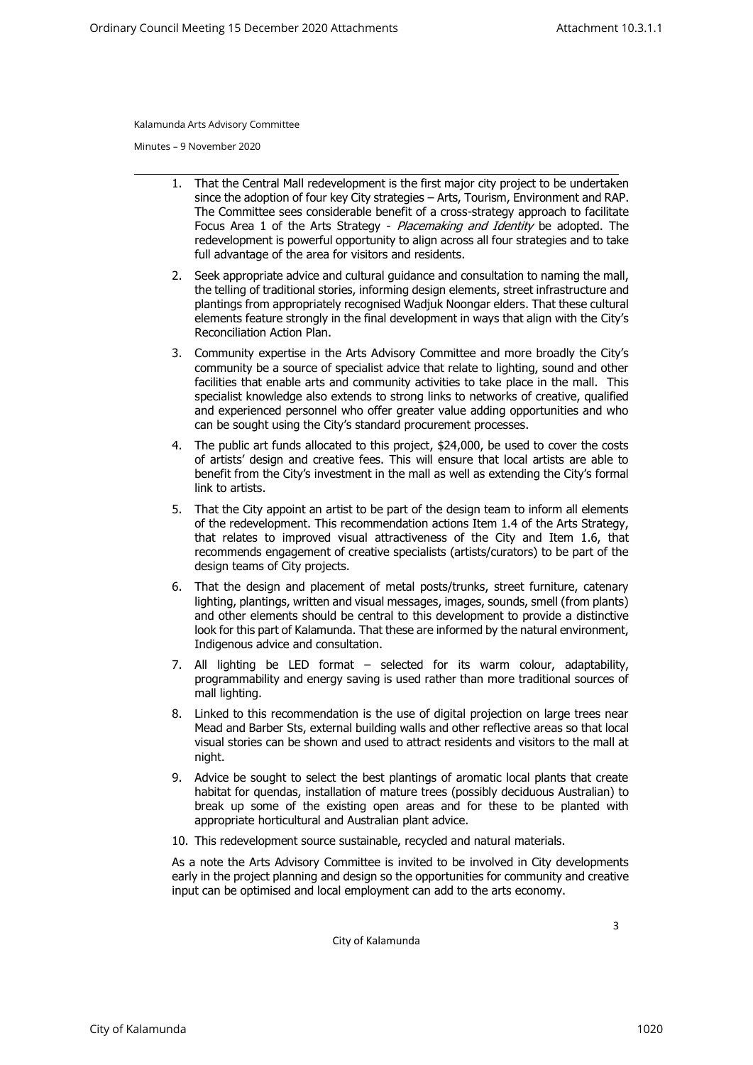Kalamunda Arts Advisory Committee

Minutes – 9 November 2020

- 1. That the Central Mall redevelopment is the first major city project to be undertaken since the adoption of four key City strategies – Arts, Tourism, Environment and RAP. The Committee sees considerable benefit of a cross-strategy approach to facilitate Focus Area 1 of the Arts Strategy - Placemaking and Identity be adopted. The redevelopment is powerful opportunity to align across all four strategies and to take full advantage of the area for visitors and residents.
- 2. Seek appropriate advice and cultural guidance and consultation to naming the mall, the telling of traditional stories, informing design elements, street infrastructure and plantings from appropriately recognised Wadjuk Noongar elders. That these cultural elements feature strongly in the final development in ways that align with the City's Reconciliation Action Plan.
- 3. Community expertise in the Arts Advisory Committee and more broadly the City's community be a source of specialist advice that relate to lighting, sound and other facilities that enable arts and community activities to take place in the mall. This specialist knowledge also extends to strong links to networks of creative, qualified and experienced personnel who offer greater value adding opportunities and who can be sought using the City's standard procurement processes.
- 4. The public art funds allocated to this project, \$24,000, be used to cover the costs of artists' design and creative fees. This will ensure that local artists are able to benefit from the City's investment in the mall as well as extending the City's formal link to artists.
- 5. That the City appoint an artist to be part of the design team to inform all elements of the redevelopment. This recommendation actions Item 1.4 of the Arts Strategy, that relates to improved visual attractiveness of the City and Item 1.6, that recommends engagement of creative specialists (artists/curators) to be part of the design teams of City projects.
- 6. That the design and placement of metal posts/trunks, street furniture, catenary lighting, plantings, written and visual messages, images, sounds, smell (from plants) and other elements should be central to this development to provide a distinctive look for this part of Kalamunda. That these are informed by the natural environment, Indigenous advice and consultation.
- 7. All lighting be LED format selected for its warm colour, adaptability, programmability and energy saving is used rather than more traditional sources of mall lighting.
- 8. Linked to this recommendation is the use of digital projection on large trees near Mead and Barber Sts, external building walls and other reflective areas so that local visual stories can be shown and used to attract residents and visitors to the mall at night.
- 9. Advice be sought to select the best plantings of aromatic local plants that create habitat for quendas, installation of mature trees (possibly deciduous Australian) to break up some of the existing open areas and for these to be planted with appropriate horticultural and Australian plant advice.
- 10. This redevelopment source sustainable, recycled and natural materials.

As a note the Arts Advisory Committee is invited to be involved in City developments early in the project planning and design so the opportunities for community and creative input can be optimised and local employment can add to the arts economy.

City of Kalamunda

3